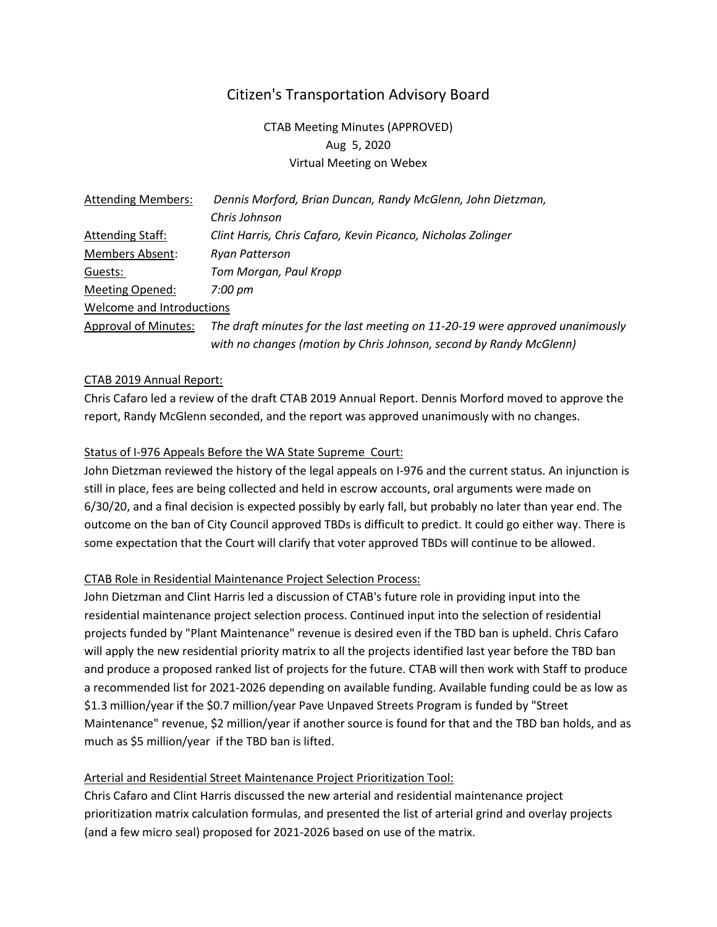# Citizen's Transportation Advisory Board

CTAB Meeting Minutes (APPROVED) Aug 5, 2020 Virtual Meeting on Webex

| <b>Attending Members:</b>   | Dennis Morford, Brian Duncan, Randy McGlenn, John Dietzman,                  |
|-----------------------------|------------------------------------------------------------------------------|
|                             | Chris Johnson                                                                |
| <b>Attending Staff:</b>     | Clint Harris, Chris Cafaro, Kevin Picanco, Nicholas Zolinger                 |
| <b>Members Absent:</b>      | Ryan Patterson                                                               |
| Guests:                     | Tom Morgan, Paul Kropp                                                       |
| Meeting Opened:             | 7:00 pm                                                                      |
| Welcome and Introductions   |                                                                              |
| <b>Approval of Minutes:</b> | The draft minutes for the last meeting on 11-20-19 were approved unanimously |
|                             | with no changes (motion by Chris Johnson, second by Randy McGlenn)           |

#### CTAB 2019 Annual Report:

Chris Cafaro led a review of the draft CTAB 2019 Annual Report. Dennis Morford moved to approve the report, Randy McGlenn seconded, and the report was approved unanimously with no changes.

### Status of I-976 Appeals Before the WA State Supreme Court:

John Dietzman reviewed the history of the legal appeals on I-976 and the current status. An injunction is still in place, fees are being collected and held in escrow accounts, oral arguments were made on 6/30/20, and a final decision is expected possibly by early fall, but probably no later than year end. The outcome on the ban of City Council approved TBDs is difficult to predict. It could go either way. There is some expectation that the Court will clarify that voter approved TBDs will continue to be allowed.

### CTAB Role in Residential Maintenance Project Selection Process:

John Dietzman and Clint Harris led a discussion of CTAB's future role in providing input into the residential maintenance project selection process. Continued input into the selection of residential projects funded by "Plant Maintenance" revenue is desired even if the TBD ban is upheld. Chris Cafaro will apply the new residential priority matrix to all the projects identified last year before the TBD ban and produce a proposed ranked list of projects for the future. CTAB will then work with Staff to produce a recommended list for 2021-2026 depending on available funding. Available funding could be as low as \$1.3 million/year if the \$0.7 million/year Pave Unpaved Streets Program is funded by "Street Maintenance" revenue, \$2 million/year if another source is found for that and the TBD ban holds, and as much as \$5 million/year if the TBD ban is lifted.

### Arterial and Residential Street Maintenance Project Prioritization Tool:

Chris Cafaro and Clint Harris discussed the new arterial and residential maintenance project prioritization matrix calculation formulas, and presented the list of arterial grind and overlay projects (and a few micro seal) proposed for 2021-2026 based on use of the matrix.